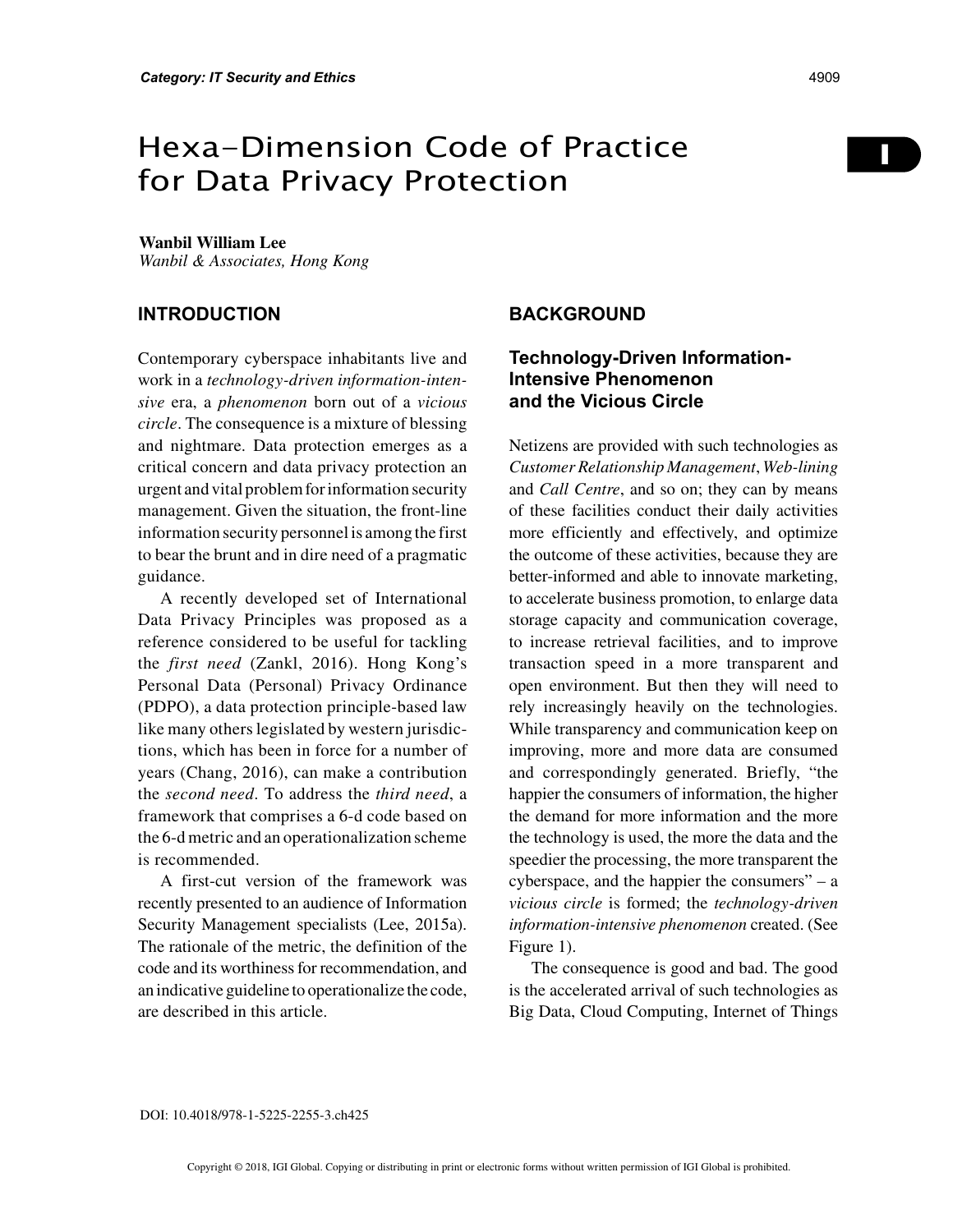# Hexa-Dimension Code of Practice for Data Privacy Protection

#### **Wanbil William Lee**

*Wanbil & Associates, Hong Kong*

## **INTRODUCTION**

Contemporary cyberspace inhabitants live and work in a *technology-driven information-intensive* era, a *phenomenon* born out of a *vicious circle*. The consequence is a mixture of blessing and nightmare. Data protection emerges as a critical concern and data privacy protection an urgent and vital problem for information security management. Given the situation, the front-line information security personnel is among the first to bear the brunt and in dire need of a pragmatic guidance.

A recently developed set of International Data Privacy Principles was proposed as a reference considered to be useful for tackling the *first need* (Zankl, 2016). Hong Kong's Personal Data (Personal) Privacy Ordinance (PDPO), a data protection principle-based law like many others legislated by western jurisdictions, which has been in force for a number of years (Chang, 2016), can make a contribution the *second need*. To address the *third need*, a framework that comprises a 6-d code based on the 6-d metric and an operationalization scheme is recommended.

A first-cut version of the framework was recently presented to an audience of Information Security Management specialists (Lee, 2015a). The rationale of the metric, the definition of the code and its worthiness for recommendation, and an indicative guideline to operationalize the code, are described in this article.

# **BACKGROUND**

# **Technology-Driven Information-Intensive Phenomenon and the Vicious Circle**

Netizens are provided with such technologies as *Customer Relationship Management*, *Web-lining* and *Call Centre*, and so on; they can by means of these facilities conduct their daily activities more efficiently and effectively, and optimize the outcome of these activities, because they are better-informed and able to innovate marketing, to accelerate business promotion, to enlarge data storage capacity and communication coverage, to increase retrieval facilities, and to improve transaction speed in a more transparent and open environment. But then they will need to rely increasingly heavily on the technologies. While transparency and communication keep on improving, more and more data are consumed and correspondingly generated. Briefly, "the happier the consumers of information, the higher the demand for more information and the more the technology is used, the more the data and the speedier the processing, the more transparent the cyberspace, and the happier the consumers"  $- a$ *vicious circle* is formed; the *technology-driven information-intensive phenomenon* created. (See Figure 1).

The consequence is good and bad. The good is the accelerated arrival of such technologies as Big Data, Cloud Computing, Internet of Things I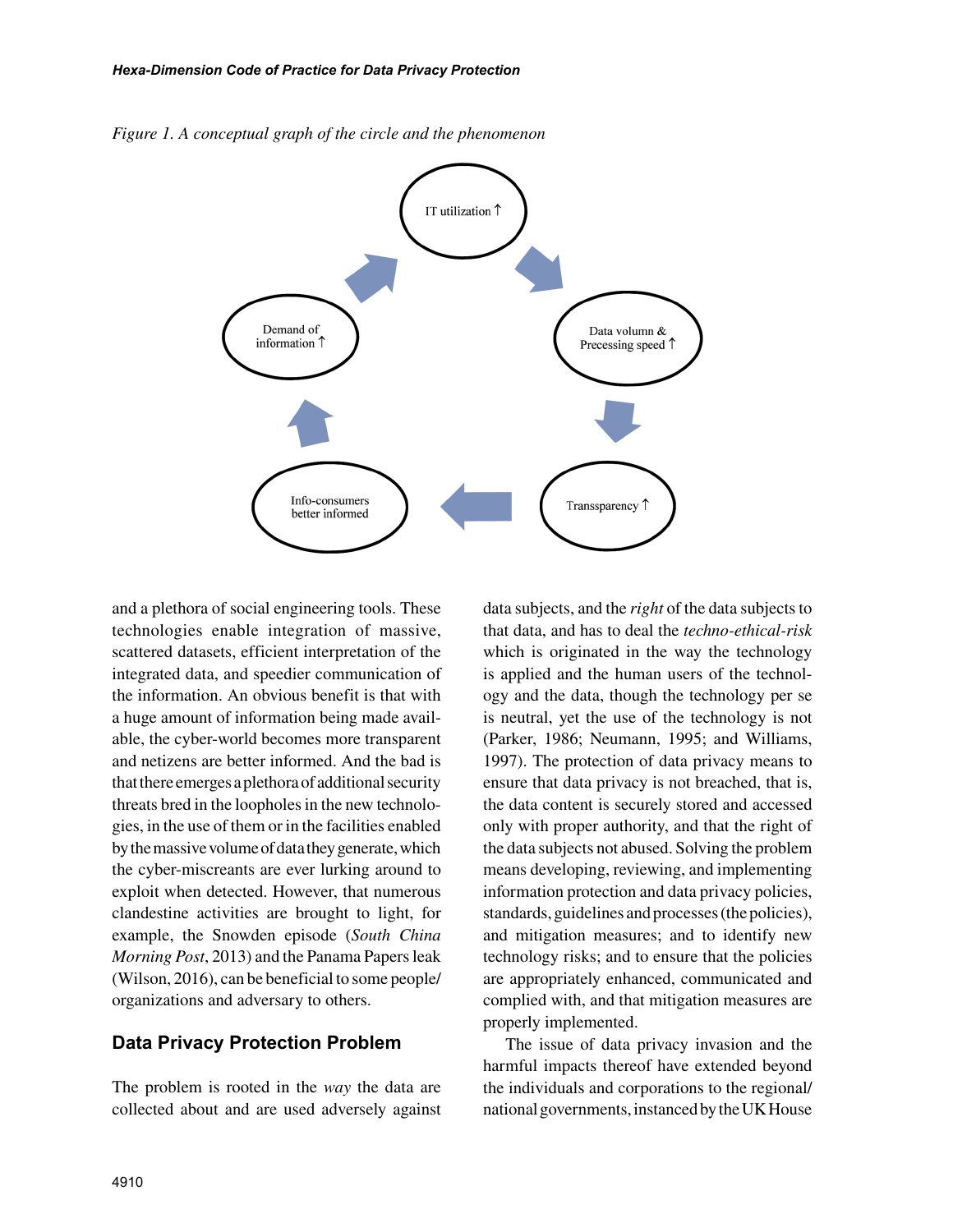



and a plethora of social engineering tools. These technologies enable integration of massive, scattered datasets, efficient interpretation of the integrated data, and speedier communication of the information. An obvious benefit is that with a huge amount of information being made available, the cyber-world becomes more transparent and netizens are better informed. And the bad is that there emerges a plethora of additional security threats bred in the loopholes in the new technologies, in the use of them or in the facilities enabled by the massive volume of data they generate, which the cyber-miscreants are ever lurking around to exploit when detected. However, that numerous clandestine activities are brought to light, for example, the Snowden episode (*South China Morning Post*, 2013) and the Panama Papers leak (Wilson, 2016), can be beneficial to some people/ organizations and adversary to others.

## **Data Privacy Protection Problem**

The problem is rooted in the *way* the data are collected about and are used adversely against data subjects, and the *right* of the data subjects to that data, and has to deal the *techno-ethical-risk* which is originated in the way the technology is applied and the human users of the technology and the data, though the technology per se is neutral, yet the use of the technology is not (Parker, 1986; Neumann, 1995; and Williams, 1997). The protection of data privacy means to ensure that data privacy is not breached, that is, the data content is securely stored and accessed only with proper authority, and that the right of the data subjects not abused. Solving the problem means developing, reviewing, and implementing information protection and data privacy policies, standards, guidelines and processes (the policies), and mitigation measures; and to identify new technology risks; and to ensure that the policies are appropriately enhanced, communicated and complied with, and that mitigation measures are properly implemented.

The issue of data privacy invasion and the harmful impacts thereof have extended beyond the individuals and corporations to the regional/ national governments, instanced by the UK House